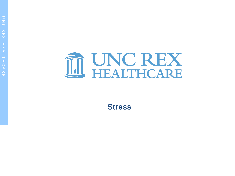

**Stress**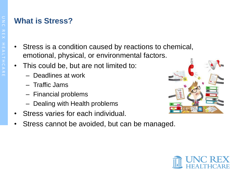# **What is Stress?**

- Stress is a condition caused by reactions to chemical, emotional, physical, or environmental factors.
- This could be, but are not limited to:
	- Deadlines at work
	- Traffic Jams
	- Financial problems
	- Dealing with Health problems
- Stress varies for each individual.
- Stress cannot be avoided, but can be managed.



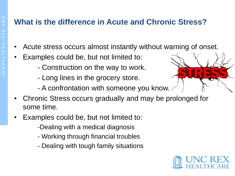# **What is the difference in Acute and Chronic Stress?**

- Acute stress occurs almost instantly without warning of onset.
- Examples could be, but not limited to:
	- Construction on the way to work.
	- Long lines in the grocery store.
	- A confrontation with someone you know.
- Chronic Stress occurs gradually and may be prolonged for some time.
- Examples could be, but not limited to:
	- -Dealing with a medical diagnosis
	- Working through financial troubles
	- Dealing with tough family situations

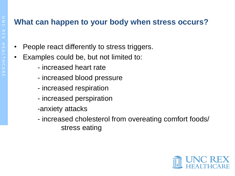# **What can happen to your body when stress occurs?**

- People react differently to stress triggers.
- Examples could be, but not limited to:
	- increased heart rate
	- increased blood pressure
	- increased respiration
	- increased perspiration
	- -anxiety attacks
	- increased cholesterol from overeating comfort foods/ stress eating

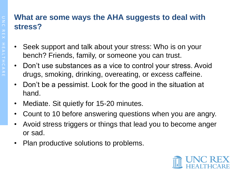#### **What are some ways the AHA suggests to deal with stress?**

- Seek support and talk about your stress: Who is on your bench? Friends, family, or someone you can trust.
- Don't use substances as a vice to control your stress. Avoid drugs, smoking, drinking, overeating, or excess caffeine.
- Don't be a pessimist. Look for the good in the situation at hand.
- Mediate. Sit quietly for 15-20 minutes.
- Count to 10 before answering questions when you are angry.
- Avoid stress triggers or things that lead you to become anger or sad.
- Plan productive solutions to problems.

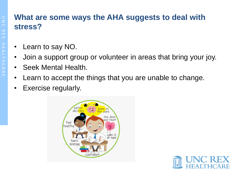### **What are some ways the AHA suggests to deal with stress?**

- Learn to say NO.
- Join a support group or volunteer in areas that bring your joy.
- Seek Mental Health.
- Learn to accept the things that you are unable to change.
- Exercise regularly.